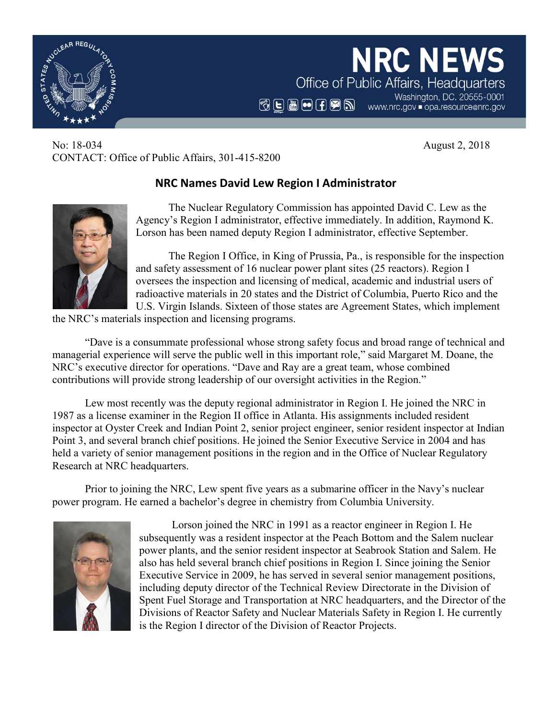

No: 18-034 August 2, 2018 CONTACT: Office of Public Affairs, 301-415-8200

## **NRC Names David Lew Region I Administrator**

The Nuclear Regulatory Commission has appointed David C. Lew as the Agency's Region I administrator, effective immediately. In addition, Raymond K. Lorson has been named deputy Region I administrator, effective September.

The Region I Office, in King of Prussia, Pa., is responsible for the inspection and safety assessment of 16 nuclear power plant sites (25 reactors). Region I oversees the inspection and licensing of medical, academic and industrial users of radioactive materials in 20 states and the District of Columbia, Puerto Rico and the U.S. Virgin Islands. Sixteen of those states are Agreement States, which implement

the NRC's materials inspection and licensing programs.

"Dave is a consummate professional whose strong safety focus and broad range of technical and managerial experience will serve the public well in this important role," said Margaret M. Doane, the NRC's executive director for operations. "Dave and Ray are a great team, whose combined contributions will provide strong leadership of our oversight activities in the Region."

Lew most recently was the deputy regional administrator in Region I. He joined the NRC in 1987 as a license examiner in the Region II office in Atlanta. His assignments included resident inspector at Oyster Creek and Indian Point 2, senior project engineer, senior resident inspector at Indian Point 3, and several branch chief positions. He joined the Senior Executive Service in 2004 and has held a variety of senior management positions in the region and in the Office of Nuclear Regulatory Research at NRC headquarters.

Prior to joining the NRC, Lew spent five years as a submarine officer in the Navy's nuclear power program. He earned a bachelor's degree in chemistry from Columbia University.



Lorson joined the NRC in 1991 as a reactor engineer in Region I. He subsequently was a resident inspector at the Peach Bottom and the Salem nuclear power plants, and the senior resident inspector at Seabrook Station and Salem. He also has held several branch chief positions in Region I. Since joining the Senior Executive Service in 2009, he has served in several senior management positions, including deputy director of the Technical Review Directorate in the Division of Spent Fuel Storage and Transportation at NRC headquarters, and the Director of the Divisions of Reactor Safety and Nuclear Materials Safety in Region I. He currently is the Region I director of the Division of Reactor Projects.